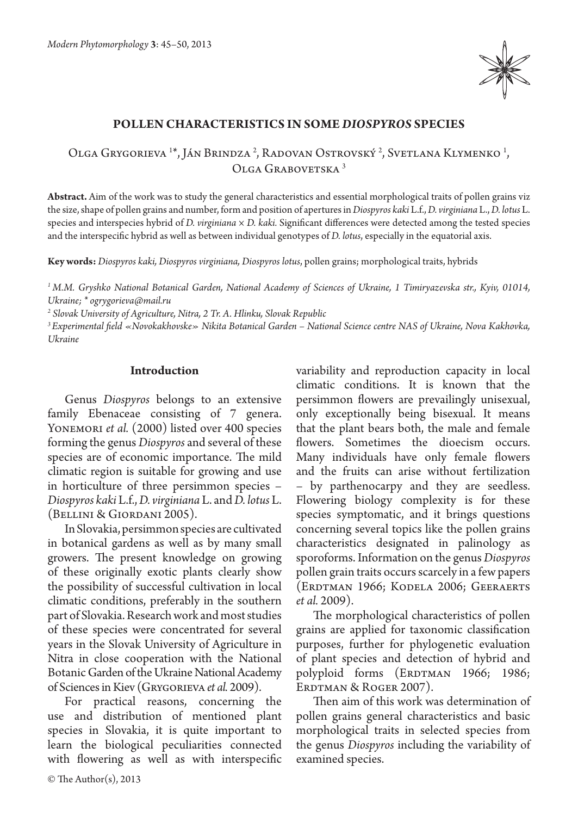

## **Pollen characteristics in some** *Diospyros* **species**

Olga Grygorieva <sup>1\*</sup>, Ján Brindza<sup>2</sup>, Radovan Ostrovský<sup>2</sup>, Svetlana Klymenko<sup>1</sup>, Olga Grabovetska 3

**Abstract.** Aim of the work was to study the general characteristics and essential morphological traits of pollen grains viz the size, shape of pollen grains and number, form and position of apertures in *Diospyros kaki* L.f., *D. virginiana* L., *D. lotus* L. species and interspecies hybrid of *D. virginiana* × *D. kaki.* Significant differences were detected among the tested species and the interspecific hybrid as well as between individual genotypes of *D. lotus*, especially in the equatorial axis.

**Key words:** *Diospyros kaki, Diospyros virginiana, Diospyros lotus*, pollen grains; morphological traits, hybrids

*1 M.M. Gryshko National Botanical Garden, National Academy of Sciences of Ukraine, 1 Timiryazevska str., Kyiv, 01014, Ukraine; \* ogrygorieva@mail.ru*

*2 Slovak University of Agriculture, Nitra, 2 Tr. A. Hlinku, Slovak Republic*

*3 Experimental field «Novokakhovske» Nikita Botanical Garden – National Science centre NAS of Ukraine, Nova Kakhovka, Ukraine*

### **Introduction**

Genus *Diospyros* belongs to an extensive family Ebenaceae consisting of 7 genera. YONEMORI *et al.* (2000) listed over 400 species forming the genus *Diospyros* and several of these species are of economic importance. The mild climatic region is suitable for growing and use in horticulture of three persimmon species – *Diospyros kaki* L.f., *D. virginiana* L. and *D. lotus* L. (Bellini & Giordani 2005).

In Slovakia, persimmon species are cultivated in botanical gardens as well as by many small growers. The present knowledge on growing of these originally exotic plants clearly show the possibility of successful cultivation in local climatic conditions, preferably in the southern part of Slovakia. Research work and most studies of these species were concentrated for several years in the Slovak University of Agriculture in Nitra in close cooperation with the National Botanic Garden of the Ukraine National Academy of Sciences in Kiev (Grygorieva *et al.* 2009).

For practical reasons, concerning the use and distribution of mentioned plant species in Slovakia, it is quite important to learn the biological peculiarities connected with flowering as well as with interspecific variability and reproduction capacity in local climatic conditions. It is known that the persimmon flowers are prevailingly unisexual, only exceptionally being bisexual. It means that the plant bears both, the male and female flowers. Sometimes the dioecism occurs. Many individuals have only female flowers and the fruits can arise without fertilization – by parthenocarpy and they are seedless. Flowering biology complexity is for these species symptomatic, and it brings questions concerning several topics like the pollen grains characteristics designated in palinology as sporoforms. Information on the genus *Diospyros* pollen grain traits occurs scarcely in a few papers (Erdtman 1966; Kodela 2006; Geeraerts *et al.* 2009).

The morphological characteristics of pollen grains are applied for taxonomic classification purposes, further for phylogenetic evaluation of plant species and detection of hybrid and polyploid forms (ERDTMAN 1966; 1986; ERDTMAN & ROGER 2007).

Then aim of this work was determination of pollen grains general characteristics and basic morphological traits in selected species from the genus *Diospyros* including the variability of examined species.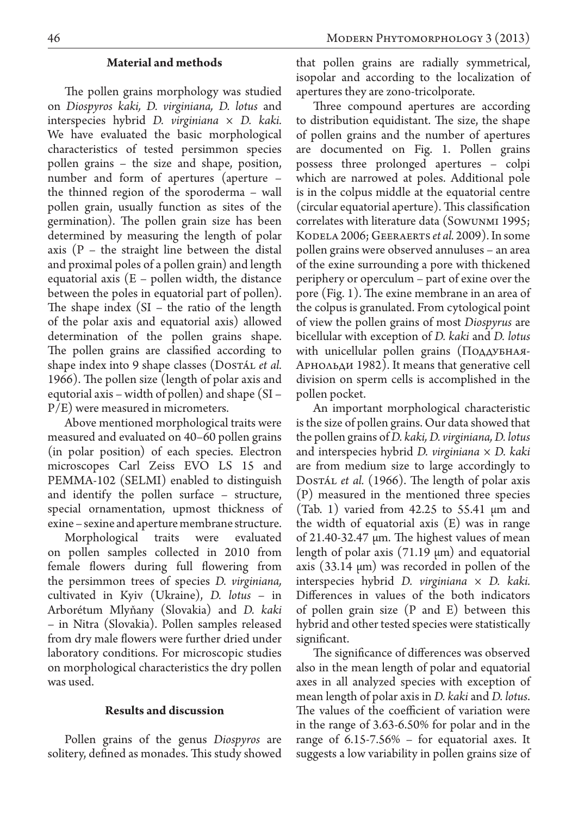# **Material and methods**

The pollen grains morphology was studied on *Diospyros kaki, D. virginiana, D. lotus* and interspecies hybrid *D. virginiana × D. kaki.*  We have evaluated the basic morphological characteristics of tested persimmon species pollen grains – the size and shape, position, number and form of apertures (aperture the thinned region of the sporoderma – wall pollen grain, usually function as sites of the germination). The pollen grain size has been determined by measuring the length of polar axis  $(P - the straight line between the distal)$ and proximal poles of a pollen grain) and length equatorial axis  $(E -$  pollen width, the distance between the poles in equatorial part of pollen). The shape index  $(SI - the ratio of the length)$ of the polar axis and equatorial axis) allowed determination of the pollen grains shape. The pollen grains are classified according to shape index into 9 shape classes (Dostan *et al.* 1966). The pollen size (length of polar axis and equtorial axis – width of pollen) and shape (SI – P/E) were measured in micrometers.

Above mentioned morphological traits were measured and evaluated on 40–60 pollen grains (in polar position) of each species. Electron microscopes Carl Zeiss EVO LS 15 and РЕММА-102 (SELMI) enabled to distinguish and identify the pollen surface – structure, special ornamentation, upmost thickness of exine – sexine and aperture membrane structure.

Morphological traits were evaluated on pollen samples collected in 2010 from female flowers during full flowering from the persimmon trees of species *D. virginiana,*  cultivated in Kyiv (Ukraine), *D. lotus* – in Arborétum Mlyňany (Slovakia) and *D. kaki*  – in Nitra (Slovakia). Pollen samples released from dry male flowers were further dried under laboratory conditions. For microscopic studies on morphological characteristics the dry pollen was used.

#### **Results and discussion**

Pollen grains of the genus *Diospyros* are solitery, defined as monades. This study showed

that pollen grains are radially symmetrical, isopolar and according to the localization of apertures they are zono-tricolporate.

Three compound apertures are according to distribution equidistant. The size, the shape of pollen grains and the number of apertures are documented on Fig. 1. Pollen grains possess three prolonged apertures – colpi which are narrowed at poles. Additional pole is in the colpus middle at the equatorial centre (circular equatorial aperture). This classification correlates with literature data (Sowunmi 1995; Kodela 2006; Geeraerts *et al.* 2009). In some pollen grains were observed annuluses – an area of the exine surrounding a pore with thickened periphery or operculum – part of exine over the pore (Fig. 1). The exine membrane in an area of the colpus is granulated. From cytological point of view the pollen grains of most *Diospyrus* are bicellular with exception of *D. kaki* and *D. lotus* with unicellular pollen grains (Поддубная-Арнольди 1982). It means that generative cell division on sperm cells is accomplished in the pollen pocket.

An important morphological characteristic is the size of pollen grains. Our data showed that the pollen grains of *D. kaki, D. virginiana, D. lotus*  and interspecies hybrid *D. virginiana × D. kaki*  are from medium size to large accordingly to Dostál *et al.* (1966). The length of polar axis (P) measured in the mentioned three species (Tab. 1) varied from  $42.25$  to  $55.41 \mu m$  and the width of equatorial axis (E) was in range of 21.40-32.47 μm. The highest values of mean length of polar axis (71.19 μm) and equatorial axis (33.14 μm) was recorded in pollen of the interspecies hybrid *D. virginiana × D. kaki.*  Differences in values of the both indicators of pollen grain size (P and E) between this hybrid and other tested species were statistically significant.

The significance of differences was observed also in the mean length of polar and equatorial axes in all analyzed species with exception of mean length of polar axis in *D. kaki* and *D. lotus*. The values of the coefficient of variation were in the range of 3.63-6.50% for polar and in the range of 6.15-7.56% – for equatorial axes. It suggests a low variability in pollen grains size of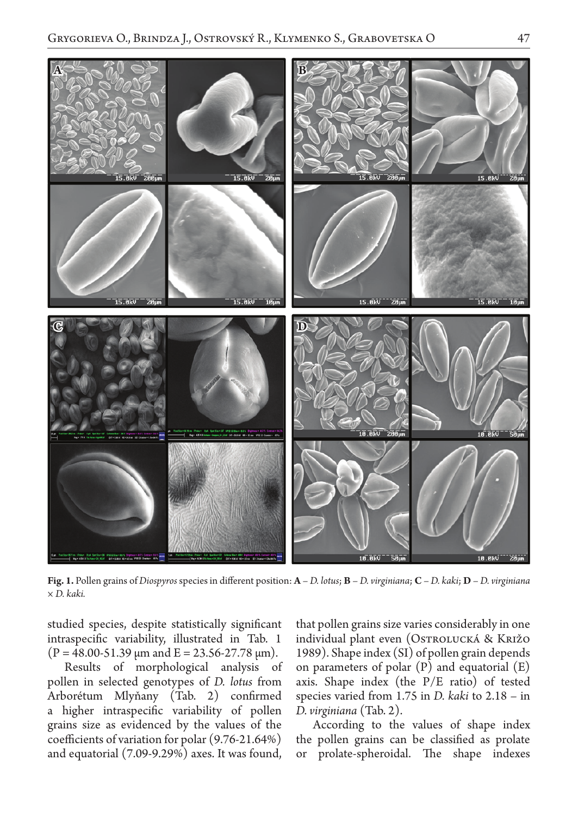

**Fig. 1.** Pollen grains of *Diospyros* species in different position: **A** – *D. lotus*; **B** – *D. virginiana*; **C** – *D. kaki*; **D** – *D. virginiana × D. kaki.*

studied species, despite statistically significant intraspecific variability, illustrated in Tab. 1  $(P = 48.00 - 51.39 \,\mu m$  and  $E = 23.56 - 27.78 \,\mu m$ ).

Results of morphological analysis of pollen in selected genotypes of *D. lotus* from Arborétum Mlyňany (Tab. 2) confirmed a higher intraspecific variability of pollen grains size as evidenced by the values of the coefficients of variation for polar (9.76-21.64%) and equatorial (7.09-9.29%) axes. It was found,

that pollen grains size varies considerably in one individual plant even (Ostrolucká & Križo 1989). Shape index (SI) of pollen grain depends on parameters of polar  $(P)$  and equatorial  $(E)$ axis. Shape index (the P/E ratio) of tested species varied from 1.75 in *D. kaki* to 2.18 – in *D. virginiana* (Tab. 2).

According to the values of shape index the pollen grains can be classified as prolate or prolate-spheroidal. The shape indexes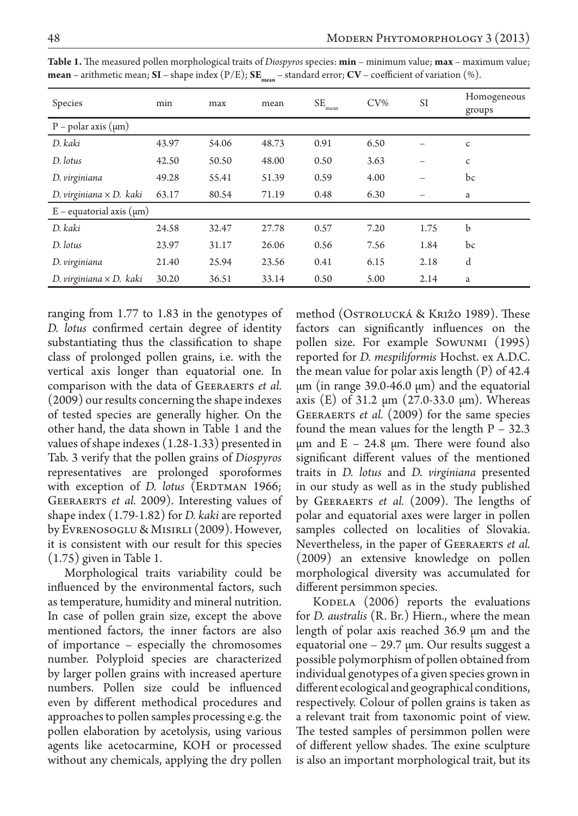| Species                         | min   | max   | mean  | SE<br>mean | $CV\%$ | SI   | Homogeneous<br>groups |
|---------------------------------|-------|-------|-------|------------|--------|------|-----------------------|
| $P$ – polar axis ( $\mu$ m)     |       |       |       |            |        |      |                       |
| D. kaki                         | 43.97 | 54.06 | 48.73 | 0.91       | 6.50   |      | $\mathsf{C}$          |
| D. lotus                        | 42.50 | 50.50 | 48.00 | 0.50       | 3.63   |      | c                     |
| D. virginiana                   | 49.28 | 55.41 | 51.39 | 0.59       | 4.00   |      | bc                    |
| D. virginiana $\times$ D. kaki  | 63.17 | 80.54 | 71.19 | 0.48       | 6.30   |      | a                     |
| $E$ – equatorial axis $(\mu m)$ |       |       |       |            |        |      |                       |
| D. kaki                         | 24.58 | 32.47 | 27.78 | 0.57       | 7.20   | 1.75 | b                     |
| D. lotus                        | 23.97 | 31.17 | 26.06 | 0.56       | 7.56   | 1.84 | bc                    |
| D. virginiana                   | 21.40 | 25.94 | 23.56 | 0.41       | 6.15   | 2.18 | d                     |
| D. virginiana $\times$ D. kaki  | 30.20 | 36.51 | 33.14 | 0.50       | 5.00   | 2.14 | a                     |

**Table 1.** The measured pollen morphological traits of *Diospyros* species: **min** – minimum value; **max** – maximum value; **mean** – arithmetic mean; **SI** – shape index  $(P/E)$ ; **SE**<sub>mean</sub> – standard error; **CV** – coefficient of variation  $(\%)$ .

ranging from 1.77 to 1.83 in the genotypes of *D. lotus* confirmed certain degree of identity substantiating thus the classification to shape class of prolonged pollen grains, i.e. with the vertical axis longer than equatorial one. In comparison with the data of Geeraerts *et al.*  (2009) our results concerning the shape indexes of tested species are generally higher. On the other hand, the data shown in Table 1 and the values of shape indexes (1.28-1.33) presented in Tab. 3 verify that the pollen grains of *Diospyros* representatives are prolonged sporoformes with exception of *D. lotus* (ERDTMAN 1966; Geeraerts *et al.* 2009). Interesting values of shape index (1.79-1.82) for *D. kaki* are reported by Evrenosoglu & Misirli (2009). However, it is consistent with our result for this species (1.75) given in Table 1.

Morphological traits variability could be influenced by the environmental factors, such as temperature, humidity and mineral nutrition. In case of pollen grain size, except the above mentioned factors, the inner factors are also of importance – especially the chromosomes number. Polyploid species are characterized by larger pollen grains with increased aperture numbers. Pollen size could be influenced even by different methodical procedures and approaches to pollen samples processing e.g. the pollen elaboration by acetolysis, using various agents like acetocarmine, KOH or processed without any chemicals, applying the dry pollen

method (Ostrolucká & Križo 1989). These factors can significantly influences on the pollen size. For example Sowunmi (1995) reported for *D. mespiliformis* Hochst. ex A.D.C. the mean value for polar axis length (P) of 42.4 μm (in range 39.0-46.0 μm) and the equatorial axis (E) of 31.2 μm (27.0-33.0 μm). Whereas Geeraerts *et al.* (2009) for the same species found the mean values for the length P – 32.3 μm and  $E - 24.8$  μm. There were found also significant different values of the mentioned traits in *D. lotus* and *D. virginiana* presented in our study as well as in the study published by Geeraerts *et al.* (2009). The lengths of polar and equatorial axes were larger in pollen samples collected on localities of Slovakia. Nevertheless, in the paper of GEERAERTS *et al.* (2009) an extensive knowledge on pollen morphological diversity was accumulated for different persimmon species.

KODELA  $(2006)$  reports the evaluations for *D. australis* (R. Br.) Hiern., where the mean length of polar axis reached 36.9 μm and the equatorial one – 29.7 μm. Our results suggest a possible polymorphism of pollen obtained from individual genotypes of a given species grown in different ecological and geographical conditions, respectively. Colour of pollen grains is taken as a relevant trait from taxonomic point of view. The tested samples of persimmon pollen were of different yellow shades. The exine sculpture is also an important morphological trait, but its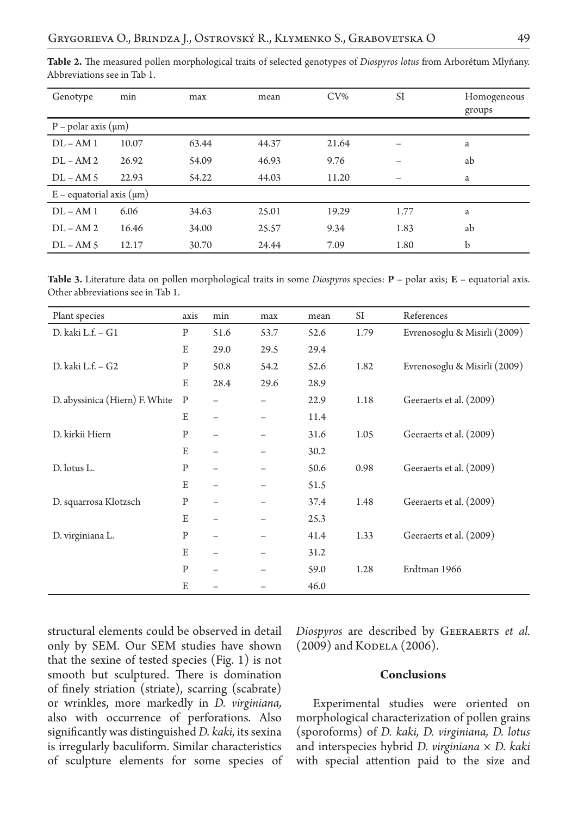| Genotype                        | min   | max   | mean  | $CV\%$ | <b>SI</b> | Homogeneous<br>groups |  |
|---------------------------------|-------|-------|-------|--------|-----------|-----------------------|--|
| $P$ – polar axis ( $\mu$ m)     |       |       |       |        |           |                       |  |
| $DI - AM1$                      | 10.07 | 63.44 | 44.37 | 21.64  |           | a                     |  |
| $DI - AM2$                      | 26.92 | 54.09 | 46.93 | 9.76   |           | ab                    |  |
| $DL-AM5$                        | 22.93 | 54.22 | 44.03 | 11.20  |           | a                     |  |
| $E$ – equatorial axis $(\mu m)$ |       |       |       |        |           |                       |  |
| $DI - AM1$                      | 6.06  | 34.63 | 25.01 | 19.29  | 1.77      | a                     |  |
| $DI - AM2$                      | 16.46 | 34.00 | 25.57 | 9.34   | 1.83      | ab                    |  |
| $DL-AM5$                        | 12.17 | 30.70 | 24.44 | 7.09   | 1.80      | b                     |  |

**Table 2.** The measured pollen morphological traits of selected genotypes of *Diospyros lotus* from Arborétum Mlyňany. Abbreviations see in Tab 1.

**Table 3.** Literature data on pollen morphological traits in some *Diospyros* species: **P** – polar axis; **E** – equatorial axis. Other abbreviations see in Tab 1.

| Plant species                  | axis         | min  | max  | mean | SI   | References                   |
|--------------------------------|--------------|------|------|------|------|------------------------------|
| D. kaki L.f. – G1              | $\mathbf{P}$ | 51.6 | 53.7 | 52.6 | 1.79 | Evrenosoglu & Misirli (2009) |
|                                | E            | 29.0 | 29.5 | 29.4 |      |                              |
| D. kaki L.f. – G2              | P            | 50.8 | 54.2 | 52.6 | 1.82 | Evrenosoglu & Misirli (2009) |
|                                | E            | 28.4 | 29.6 | 28.9 |      |                              |
| D. abyssinica (Hiern) F. White | P            |      |      | 22.9 | 1.18 | Geeraerts et al. (2009)      |
|                                | E            |      |      | 11.4 |      |                              |
| D. kirkii Hiern                | $\mathbf P$  |      |      | 31.6 | 1.05 | Geeraerts et al. (2009)      |
|                                | E            |      |      | 30.2 |      |                              |
| D. lotus L.                    | P            |      |      | 50.6 | 0.98 | Geeraerts et al. (2009)      |
|                                | E            |      |      | 51.5 |      |                              |
| D. squarrosa Klotzsch          | P            |      |      | 37.4 | 1.48 | Geeraerts et al. (2009)      |
|                                | E            |      |      | 25.3 |      |                              |
| D. virginiana L.               | P            |      |      | 41.4 | 1.33 | Geeraerts et al. (2009)      |
|                                | E            |      |      | 31.2 |      |                              |
|                                | $\mathbf{P}$ |      |      | 59.0 | 1.28 | Erdtman 1966                 |
|                                | E            |      |      | 46.0 |      |                              |

structural elements could be observed in detail only by SEM. Our SEM studies have shown that the sexine of tested species (Fig. 1) is not smooth but sculptured. There is domination of finely striation (striate), scarring (scabrate) or wrinkles, more markedly in *D. virginiana,*  also with occurrence of perforations. Also significantly was distinguished *D. kaki,* its sexina is irregularly baculiform. Similar characteristics of sculpture elements for some species of *Diospyros* are described by Geeraerts *et al.*   $(2009)$  and KODELA  $(2006)$ .

### **Conclusions**

Experimental studies were oriented on morphological characterization of pollen grains (sporoforms) of *D. kaki, D. virginiana, D. lotus*  and interspecies hybrid *D. virginiana × D. kaki*  with special attention paid to the size and